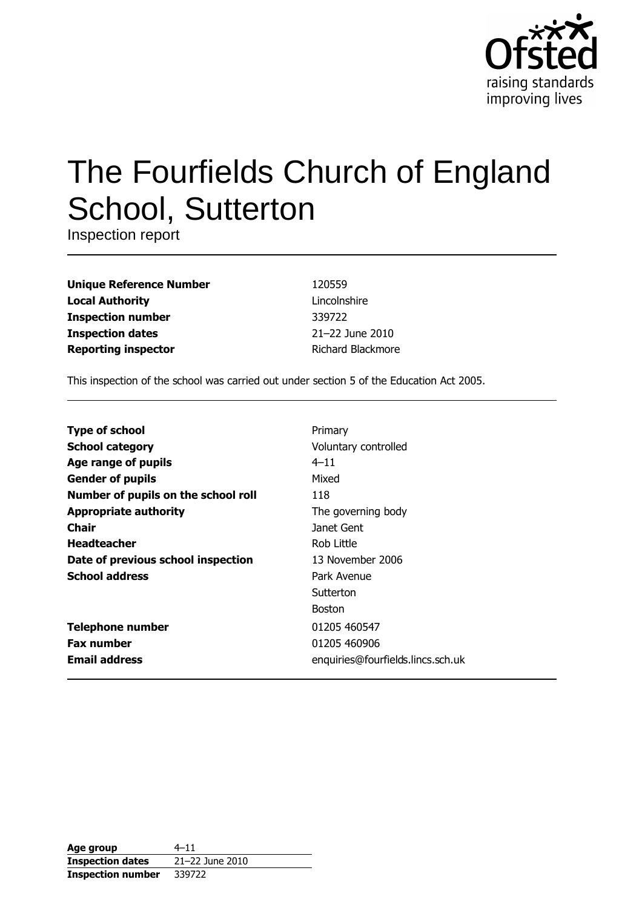

# The Fourfields Church of England **School, Sutterton**

Inspection report

| <b>Unique Reference Number</b> |
|--------------------------------|
| <b>Local Authority</b>         |
| <b>Inspection number</b>       |
| <b>Inspection dates</b>        |
| <b>Reporting inspector</b>     |

120559 Lincolnshire 339722 21-22 June 2010 Richard Blackmore

This inspection of the school was carried out under section 5 of the Education Act 2005.

| <b>Type of school</b>               | Primary                           |
|-------------------------------------|-----------------------------------|
| <b>School category</b>              | Voluntary controlled              |
| Age range of pupils                 | $4 - 11$                          |
| <b>Gender of pupils</b>             | Mixed                             |
| Number of pupils on the school roll | 118                               |
| <b>Appropriate authority</b>        | The governing body                |
| Chair                               | Janet Gent                        |
| <b>Headteacher</b>                  | Rob Little                        |
| Date of previous school inspection  | 13 November 2006                  |
| <b>School address</b>               | Park Avenue                       |
|                                     | Sutterton                         |
|                                     | <b>Boston</b>                     |
| <b>Telephone number</b>             | 01205 460547                      |
| <b>Fax number</b>                   | 01205 460906                      |
| <b>Email address</b>                | enquiries@fourfields.lincs.sch.uk |

| Age group                | $4 - 11$        |
|--------------------------|-----------------|
| <b>Inspection dates</b>  | 21-22 June 2010 |
| <b>Inspection number</b> | 339722          |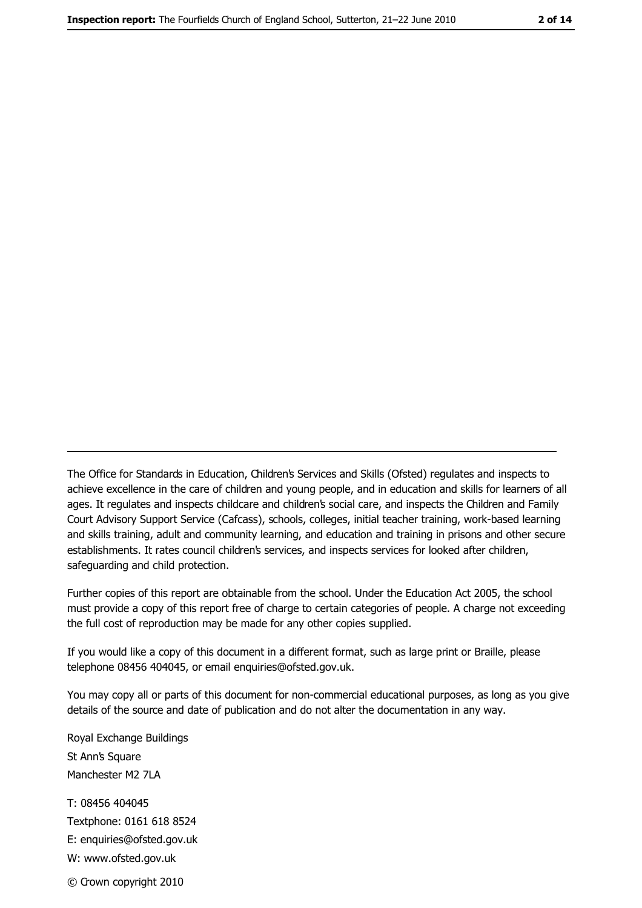The Office for Standards in Education, Children's Services and Skills (Ofsted) regulates and inspects to achieve excellence in the care of children and young people, and in education and skills for learners of all ages. It regulates and inspects childcare and children's social care, and inspects the Children and Family Court Advisory Support Service (Cafcass), schools, colleges, initial teacher training, work-based learning and skills training, adult and community learning, and education and training in prisons and other secure establishments. It rates council children's services, and inspects services for looked after children, safequarding and child protection.

Further copies of this report are obtainable from the school. Under the Education Act 2005, the school must provide a copy of this report free of charge to certain categories of people. A charge not exceeding the full cost of reproduction may be made for any other copies supplied.

If you would like a copy of this document in a different format, such as large print or Braille, please telephone 08456 404045, or email enquiries@ofsted.gov.uk.

You may copy all or parts of this document for non-commercial educational purposes, as long as you give details of the source and date of publication and do not alter the documentation in any way.

Royal Exchange Buildings St Ann's Square Manchester M2 7LA T: 08456 404045 Textphone: 0161 618 8524 E: enquiries@ofsted.gov.uk W: www.ofsted.gov.uk © Crown copyright 2010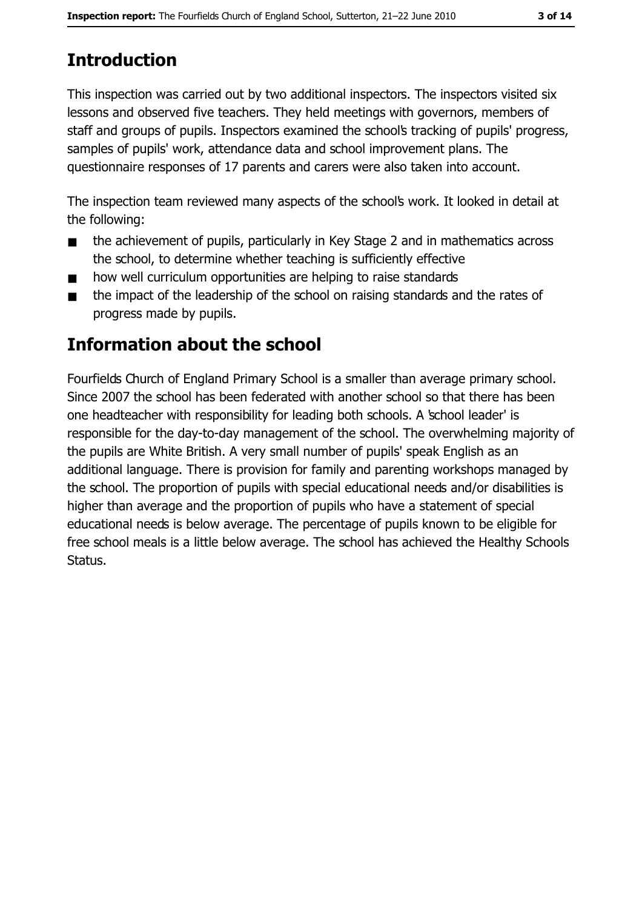# **Introduction**

This inspection was carried out by two additional inspectors. The inspectors visited six lessons and observed five teachers. They held meetings with governors, members of staff and groups of pupils. Inspectors examined the school's tracking of pupils' progress, samples of pupils' work, attendance data and school improvement plans. The questionnaire responses of 17 parents and carers were also taken into account.

The inspection team reviewed many aspects of the school's work. It looked in detail at the following:

- the achievement of pupils, particularly in Key Stage 2 and in mathematics across  $\blacksquare$ the school, to determine whether teaching is sufficiently effective
- how well curriculum opportunities are helping to raise standards  $\blacksquare$
- the impact of the leadership of the school on raising standards and the rates of  $\blacksquare$ progress made by pupils.

# **Information about the school**

Fourfields Church of England Primary School is a smaller than average primary school. Since 2007 the school has been federated with another school so that there has been one headteacher with responsibility for leading both schools. A school leader' is responsible for the day-to-day management of the school. The overwhelming majority of the pupils are White British. A very small number of pupils' speak English as an additional language. There is provision for family and parenting workshops managed by the school. The proportion of pupils with special educational needs and/or disabilities is higher than average and the proportion of pupils who have a statement of special educational needs is below average. The percentage of pupils known to be eligible for free school meals is a little below average. The school has achieved the Healthy Schools Status.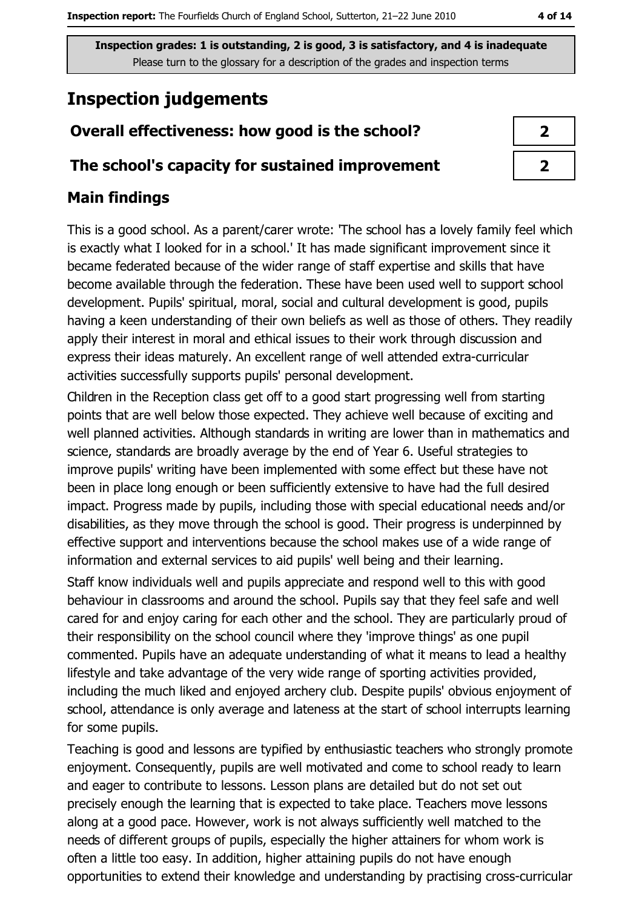# **Inspection judgements**

### Overall effectiveness: how good is the school?

#### The school's capacity for sustained improvement

#### **Main findings**

This is a good school. As a parent/carer wrote: 'The school has a lovely family feel which is exactly what I looked for in a school.' It has made significant improvement since it became federated because of the wider range of staff expertise and skills that have become available through the federation. These have been used well to support school development. Pupils' spiritual, moral, social and cultural development is good, pupils having a keen understanding of their own beliefs as well as those of others. They readily apply their interest in moral and ethical issues to their work through discussion and express their ideas maturely. An excellent range of well attended extra-curricular activities successfully supports pupils' personal development.

Children in the Reception class get off to a good start progressing well from starting points that are well below those expected. They achieve well because of exciting and well planned activities. Although standards in writing are lower than in mathematics and science, standards are broadly average by the end of Year 6. Useful strategies to improve pupils' writing have been implemented with some effect but these have not been in place long enough or been sufficiently extensive to have had the full desired impact. Progress made by pupils, including those with special educational needs and/or disabilities, as they move through the school is good. Their progress is underpinned by effective support and interventions because the school makes use of a wide range of information and external services to aid pupils' well being and their learning.

Staff know individuals well and pupils appreciate and respond well to this with good behaviour in classrooms and around the school. Pupils say that they feel safe and well cared for and enjoy caring for each other and the school. They are particularly proud of their responsibility on the school council where they 'improve things' as one pupil commented. Pupils have an adequate understanding of what it means to lead a healthy lifestyle and take advantage of the very wide range of sporting activities provided, including the much liked and enjoyed archery club. Despite pupils' obvious enjoyment of school, attendance is only average and lateness at the start of school interrupts learning for some pupils.

Teaching is good and lessons are typified by enthusiastic teachers who strongly promote enjoyment. Consequently, pupils are well motivated and come to school ready to learn and eager to contribute to lessons. Lesson plans are detailed but do not set out precisely enough the learning that is expected to take place. Teachers move lessons along at a good pace. However, work is not always sufficiently well matched to the needs of different groups of pupils, especially the higher attainers for whom work is often a little too easy. In addition, higher attaining pupils do not have enough opportunities to extend their knowledge and understanding by practising cross-curricular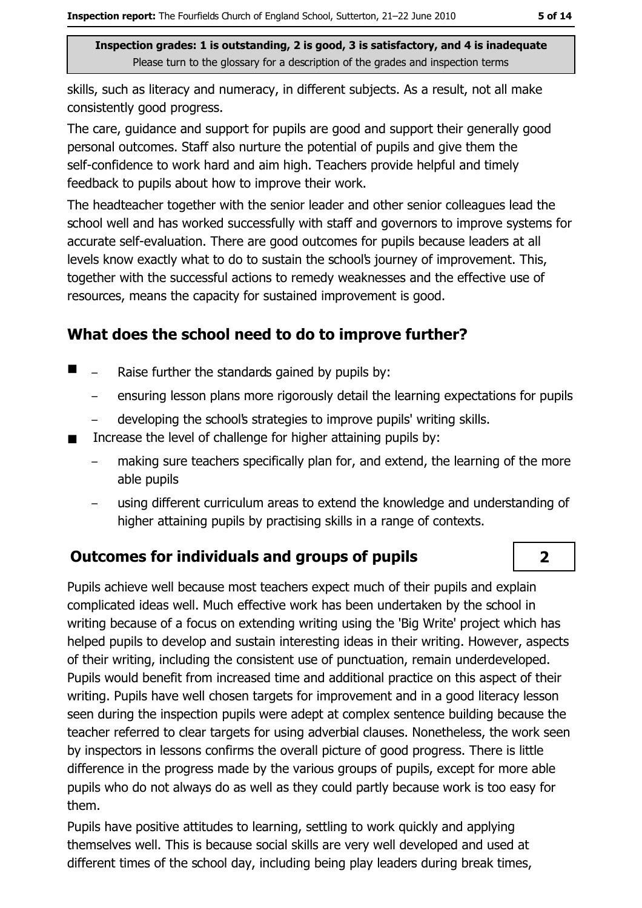skills, such as literacy and numeracy, in different subjects. As a result, not all make consistently good progress.

The care, guidance and support for pupils are good and support their generally good personal outcomes. Staff also nurture the potential of pupils and give them the self-confidence to work hard and aim high. Teachers provide helpful and timely feedback to pupils about how to improve their work.

The headteacher together with the senior leader and other senior colleagues lead the school well and has worked successfully with staff and governors to improve systems for accurate self-evaluation. There are good outcomes for pupils because leaders at all levels know exactly what to do to sustain the school's journey of improvement. This, together with the successful actions to remedy weaknesses and the effective use of resources, means the capacity for sustained improvement is good.

#### What does the school need to do to improve further?

- $\blacksquare$  $\equiv$ Raise further the standards gained by pupils by:
	- ensuring lesson plans more rigorously detail the learning expectations for pupils  $\equiv$
	- developing the school's strategies to improve pupils' writing skills.
- Increase the level of challenge for higher attaining pupils by:
	- making sure teachers specifically plan for, and extend, the learning of the more able pupils
	- using different curriculum areas to extend the knowledge and understanding of higher attaining pupils by practising skills in a range of contexts.

#### **Outcomes for individuals and groups of pupils**

Pupils achieve well because most teachers expect much of their pupils and explain complicated ideas well. Much effective work has been undertaken by the school in writing because of a focus on extending writing using the 'Big Write' project which has helped pupils to develop and sustain interesting ideas in their writing. However, aspects of their writing, including the consistent use of punctuation, remain underdeveloped. Pupils would benefit from increased time and additional practice on this aspect of their writing. Pupils have well chosen targets for improvement and in a good literacy lesson seen during the inspection pupils were adept at complex sentence building because the teacher referred to clear targets for using adverbial clauses. Nonetheless, the work seen by inspectors in lessons confirms the overall picture of good progress. There is little difference in the progress made by the various groups of pupils, except for more able pupils who do not always do as well as they could partly because work is too easy for them.

Pupils have positive attitudes to learning, settling to work quickly and applying themselves well. This is because social skills are very well developed and used at different times of the school day, including being play leaders during break times,

 $2<sup>1</sup>$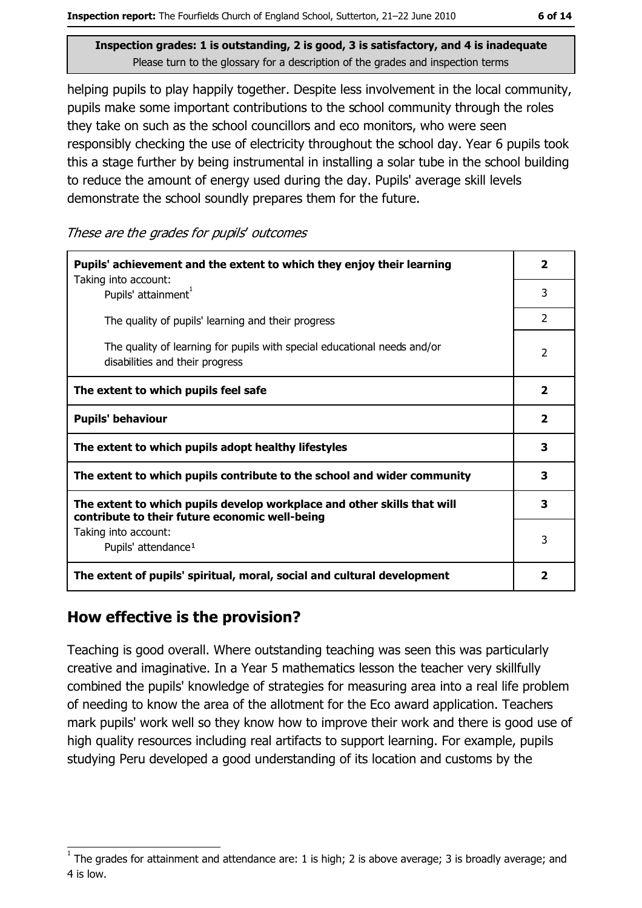helping pupils to play happily together. Despite less involvement in the local community, pupils make some important contributions to the school community through the roles they take on such as the school councillors and eco monitors, who were seen responsibly checking the use of electricity throughout the school day. Year 6 pupils took this a stage further by being instrumental in installing a solar tube in the school building to reduce the amount of energy used during the day. Pupils' average skill levels demonstrate the school soundly prepares them for the future.

These are the grades for pupils' outcomes

| Pupils' achievement and the extent to which they enjoy their learning                                                     |                          |  |
|---------------------------------------------------------------------------------------------------------------------------|--------------------------|--|
| Taking into account:<br>Pupils' attainment <sup>1</sup>                                                                   | 3                        |  |
| The quality of pupils' learning and their progress                                                                        | $\overline{2}$           |  |
| The quality of learning for pupils with special educational needs and/or<br>disabilities and their progress               | $\overline{\phantom{a}}$ |  |
| The extent to which pupils feel safe                                                                                      | $\mathbf{2}$             |  |
| <b>Pupils' behaviour</b>                                                                                                  | $\overline{\mathbf{2}}$  |  |
| The extent to which pupils adopt healthy lifestyles                                                                       | 3                        |  |
| The extent to which pupils contribute to the school and wider community                                                   | 3                        |  |
| The extent to which pupils develop workplace and other skills that will<br>contribute to their future economic well-being | 3                        |  |
| Taking into account:<br>Pupils' attendance <sup>1</sup>                                                                   | 3                        |  |
| The extent of pupils' spiritual, moral, social and cultural development                                                   | 2                        |  |

#### How effective is the provision?

Teaching is good overall. Where outstanding teaching was seen this was particularly creative and imaginative. In a Year 5 mathematics lesson the teacher very skillfully combined the pupils' knowledge of strategies for measuring area into a real life problem of needing to know the area of the allotment for the Eco award application. Teachers mark pupils' work well so they know how to improve their work and there is good use of high quality resources including real artifacts to support learning. For example, pupils studying Peru developed a good understanding of its location and customs by the

The grades for attainment and attendance are: 1 is high; 2 is above average; 3 is broadly average; and 4 is low.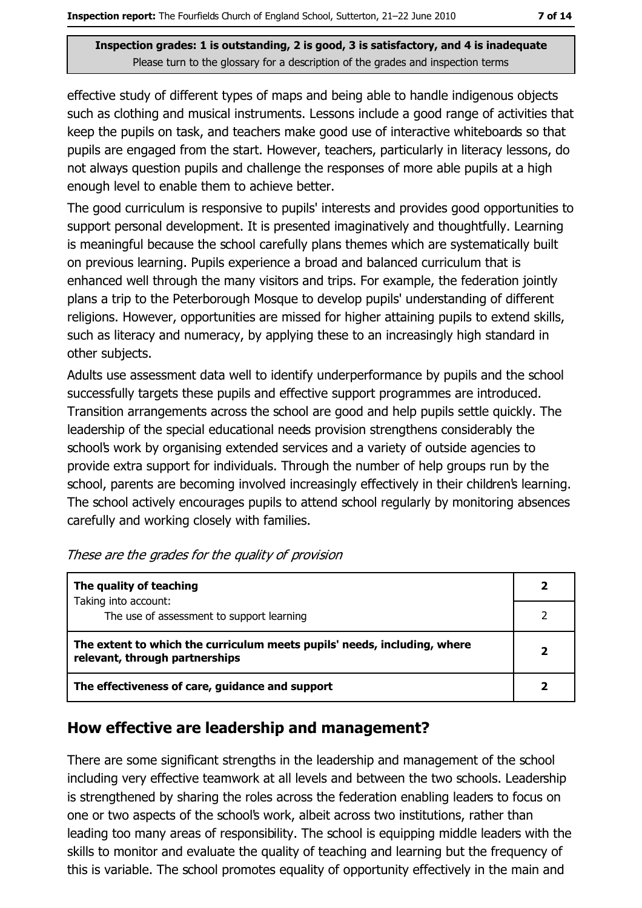effective study of different types of maps and being able to handle indigenous objects such as clothing and musical instruments. Lessons include a good range of activities that keep the pupils on task, and teachers make good use of interactive whiteboards so that pupils are engaged from the start. However, teachers, particularly in literacy lessons, do not always question pupils and challenge the responses of more able pupils at a high enough level to enable them to achieve better.

The good curriculum is responsive to pupils' interests and provides good opportunities to support personal development. It is presented imaginatively and thoughtfully. Learning is meaningful because the school carefully plans themes which are systematically built on previous learning. Pupils experience a broad and balanced curriculum that is enhanced well through the many visitors and trips. For example, the federation jointly plans a trip to the Peterborough Mosque to develop pupils' understanding of different religions. However, opportunities are missed for higher attaining pupils to extend skills, such as literacy and numeracy, by applying these to an increasingly high standard in other subjects.

Adults use assessment data well to identify underperformance by pupils and the school successfully targets these pupils and effective support programmes are introduced. Transition arrangements across the school are good and help pupils settle quickly. The leadership of the special educational needs provision strengthens considerably the school's work by organising extended services and a variety of outside agencies to provide extra support for individuals. Through the number of help groups run by the school, parents are becoming involved increasingly effectively in their children's learning. The school actively encourages pupils to attend school regularly by monitoring absences carefully and working closely with families.

| The quality of teaching                                                                                    |  |
|------------------------------------------------------------------------------------------------------------|--|
| Taking into account:<br>The use of assessment to support learning                                          |  |
| The extent to which the curriculum meets pupils' needs, including, where<br>relevant, through partnerships |  |
| The effectiveness of care, guidance and support                                                            |  |

| These are the grades for the quality of provision |  |  |
|---------------------------------------------------|--|--|
|---------------------------------------------------|--|--|

#### How effective are leadership and management?

There are some significant strengths in the leadership and management of the school including very effective teamwork at all levels and between the two schools. Leadership is strengthened by sharing the roles across the federation enabling leaders to focus on one or two aspects of the school's work, albeit across two institutions, rather than leading too many areas of responsibility. The school is equipping middle leaders with the skills to monitor and evaluate the quality of teaching and learning but the frequency of this is variable. The school promotes equality of opportunity effectively in the main and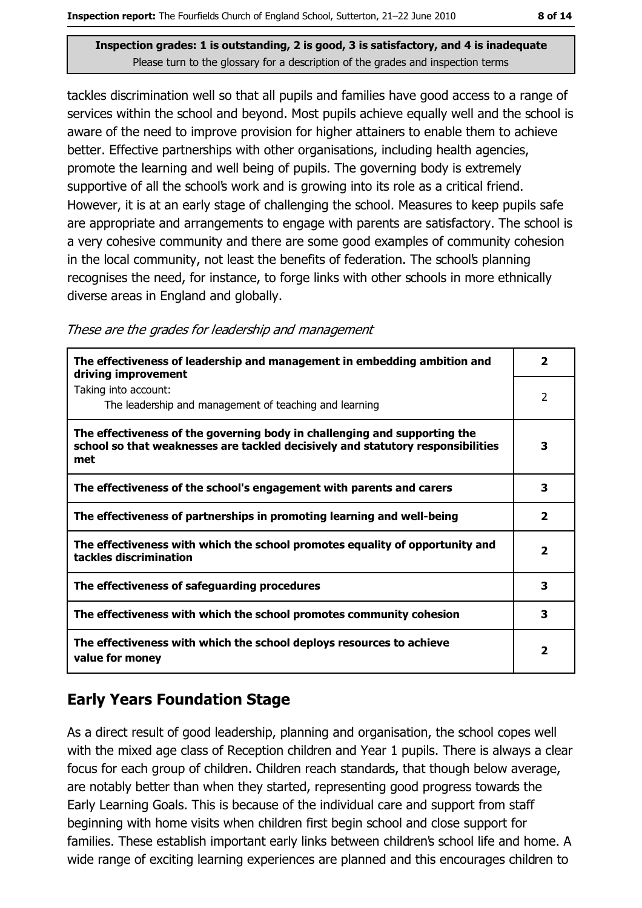tackles discrimination well so that all pupils and families have good access to a range of services within the school and beyond. Most pupils achieve equally well and the school is aware of the need to improve provision for higher attainers to enable them to achieve better. Effective partnerships with other organisations, including health agencies, promote the learning and well being of pupils. The governing body is extremely supportive of all the school's work and is growing into its role as a critical friend. However, it is at an early stage of challenging the school. Measures to keep pupils safe are appropriate and arrangements to engage with parents are satisfactory. The school is a very cohesive community and there are some good examples of community cohesion in the local community, not least the benefits of federation. The school's planning recognises the need, for instance, to forge links with other schools in more ethnically diverse areas in England and globally.

|  | These are the grades for leadership and management |  |  |  |
|--|----------------------------------------------------|--|--|--|
|  |                                                    |  |  |  |

| The effectiveness of leadership and management in embedding ambition and<br>driving improvement                                                                     | $\overline{\mathbf{2}}$ |
|---------------------------------------------------------------------------------------------------------------------------------------------------------------------|-------------------------|
| Taking into account:<br>The leadership and management of teaching and learning                                                                                      | $\overline{2}$          |
| The effectiveness of the governing body in challenging and supporting the<br>school so that weaknesses are tackled decisively and statutory responsibilities<br>met | 3                       |
| The effectiveness of the school's engagement with parents and carers                                                                                                | 3                       |
| The effectiveness of partnerships in promoting learning and well-being                                                                                              | $\mathbf{2}$            |
| The effectiveness with which the school promotes equality of opportunity and<br>tackles discrimination                                                              | 2                       |
| The effectiveness of safeguarding procedures                                                                                                                        | 3                       |
| The effectiveness with which the school promotes community cohesion                                                                                                 | 3                       |
| The effectiveness with which the school deploys resources to achieve<br>value for money                                                                             | $\overline{\mathbf{2}}$ |

#### **Early Years Foundation Stage**

As a direct result of good leadership, planning and organisation, the school copes well with the mixed age class of Reception children and Year 1 pupils. There is always a clear focus for each group of children. Children reach standards, that though below average, are notably better than when they started, representing good progress towards the Early Learning Goals. This is because of the individual care and support from staff beginning with home visits when children first begin school and close support for families. These establish important early links between children's school life and home. A wide range of exciting learning experiences are planned and this encourages children to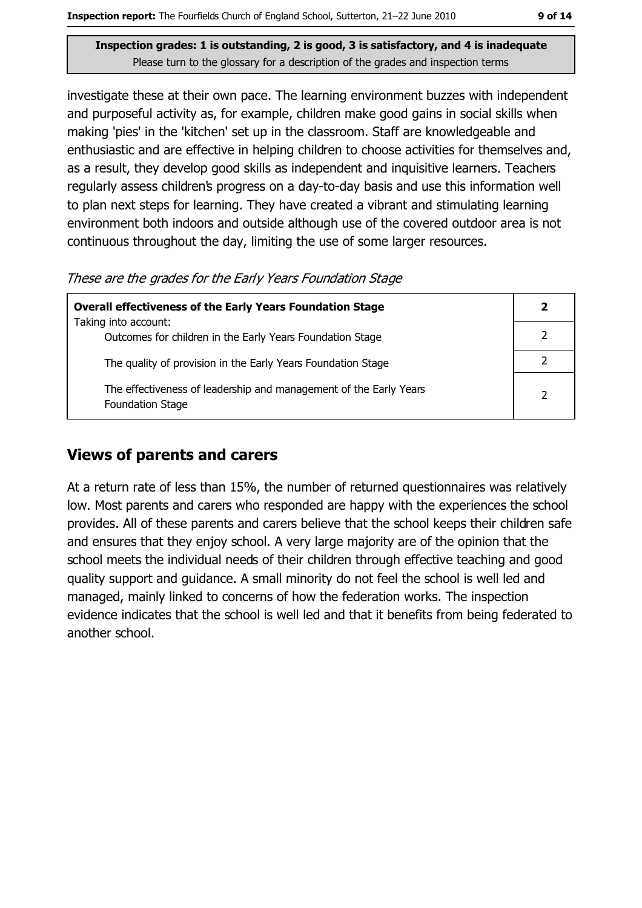investigate these at their own pace. The learning environment buzzes with independent and purposeful activity as, for example, children make good gains in social skills when making 'pies' in the 'kitchen' set up in the classroom. Staff are knowledgeable and enthusiastic and are effective in helping children to choose activities for themselves and, as a result, they develop good skills as independent and inquisitive learners. Teachers regularly assess children's progress on a day-to-day basis and use this information well to plan next steps for learning. They have created a vibrant and stimulating learning environment both indoors and outside although use of the covered outdoor area is not continuous throughout the day, limiting the use of some larger resources.

These are the grades for the Early Years Foundation Stage

| <b>Overall effectiveness of the Early Years Foundation Stage</b>                             | 2 |
|----------------------------------------------------------------------------------------------|---|
| Taking into account:<br>Outcomes for children in the Early Years Foundation Stage            |   |
| The quality of provision in the Early Years Foundation Stage                                 |   |
| The effectiveness of leadership and management of the Early Years<br><b>Foundation Stage</b> | 2 |

#### **Views of parents and carers**

At a return rate of less than 15%, the number of returned questionnaires was relatively low. Most parents and carers who responded are happy with the experiences the school provides. All of these parents and carers believe that the school keeps their children safe and ensures that they enjoy school. A very large majority are of the opinion that the school meets the individual needs of their children through effective teaching and good quality support and guidance. A small minority do not feel the school is well led and managed, mainly linked to concerns of how the federation works. The inspection evidence indicates that the school is well led and that it benefits from being federated to another school.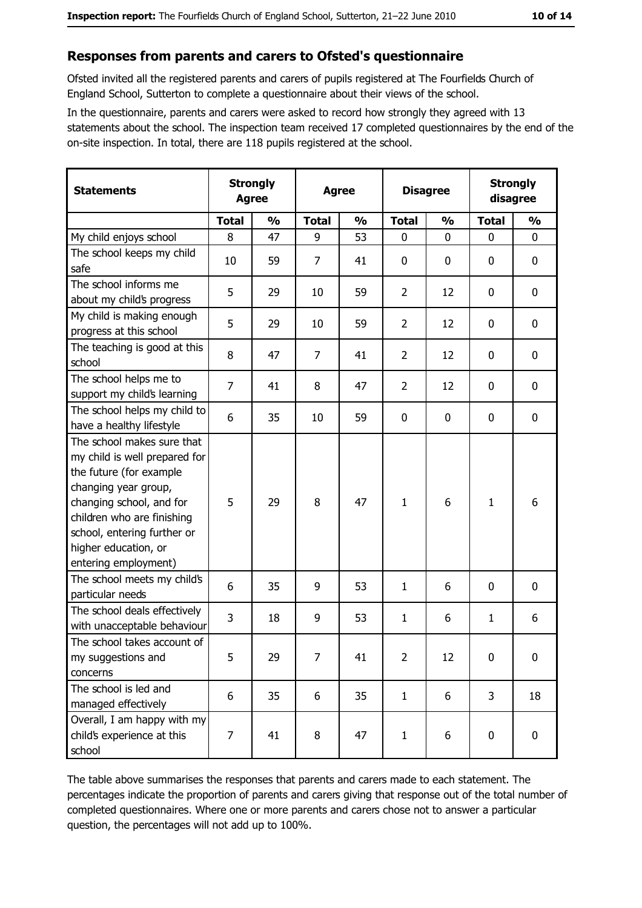#### Responses from parents and carers to Ofsted's questionnaire

Ofsted invited all the registered parents and carers of pupils registered at The Fourfields Church of England School, Sutterton to complete a questionnaire about their views of the school.

In the questionnaire, parents and carers were asked to record how strongly they agreed with 13 statements about the school. The inspection team received 17 completed questionnaires by the end of the on-site inspection. In total, there are 118 pupils registered at the school.

| <b>Statements</b>                                                                                                                                                                                                                                       | <b>Strongly</b><br><b>Agree</b> |               | <b>Agree</b> |               | <b>Disagree</b> |               | <b>Strongly</b><br>disagree |               |
|---------------------------------------------------------------------------------------------------------------------------------------------------------------------------------------------------------------------------------------------------------|---------------------------------|---------------|--------------|---------------|-----------------|---------------|-----------------------------|---------------|
|                                                                                                                                                                                                                                                         | <b>Total</b>                    | $\frac{1}{2}$ | <b>Total</b> | $\frac{0}{0}$ | <b>Total</b>    | $\frac{0}{0}$ | <b>Total</b>                | $\frac{0}{0}$ |
| My child enjoys school                                                                                                                                                                                                                                  | 8                               | 47            | 9            | 53            | $\mathbf 0$     | 0             | $\mathbf{0}$                | $\mathbf 0$   |
| The school keeps my child<br>safe                                                                                                                                                                                                                       | 10                              | 59            | 7            | 41            | $\mathbf 0$     | 0             | 0                           | 0             |
| The school informs me<br>about my child's progress                                                                                                                                                                                                      | 5                               | 29            | 10           | 59            | $\overline{2}$  | 12            | 0                           | 0             |
| My child is making enough<br>progress at this school                                                                                                                                                                                                    | 5                               | 29            | 10           | 59            | $\overline{2}$  | 12            | 0                           | 0             |
| The teaching is good at this<br>school                                                                                                                                                                                                                  | 8                               | 47            | 7            | 41            | $\overline{2}$  | 12            | 0                           | $\mathbf 0$   |
| The school helps me to<br>support my child's learning                                                                                                                                                                                                   | $\overline{7}$                  | 41            | 8            | 47            | $\overline{2}$  | 12            | 0                           | $\mathbf 0$   |
| The school helps my child to<br>have a healthy lifestyle                                                                                                                                                                                                | 6                               | 35            | 10           | 59            | $\mathbf 0$     | 0             | 0                           | $\mathbf 0$   |
| The school makes sure that<br>my child is well prepared for<br>the future (for example<br>changing year group,<br>changing school, and for<br>children who are finishing<br>school, entering further or<br>higher education, or<br>entering employment) | 5                               | 29            | 8            | 47            | $\mathbf{1}$    | 6             | $\mathbf{1}$                | 6             |
| The school meets my child's<br>particular needs                                                                                                                                                                                                         | 6                               | 35            | 9            | 53            | 1               | 6             | 0                           | $\mathbf 0$   |
| The school deals effectively<br>with unacceptable behaviour                                                                                                                                                                                             | 3                               | 18            | 9            | 53            | $\mathbf{1}$    | 6             | 1                           | 6             |
| The school takes account of<br>my suggestions and<br>concerns                                                                                                                                                                                           | 5                               | 29            | 7            | 41            | $\overline{2}$  | 12            | $\mathbf 0$                 | $\mathbf 0$   |
| The school is led and<br>managed effectively                                                                                                                                                                                                            | 6                               | 35            | 6            | 35            | $\mathbf{1}$    | 6             | 3                           | 18            |
| Overall, I am happy with my<br>child's experience at this<br>school                                                                                                                                                                                     | 7                               | 41            | 8            | 47            | $\mathbf{1}$    | 6             | 0                           | 0             |

The table above summarises the responses that parents and carers made to each statement. The percentages indicate the proportion of parents and carers giving that response out of the total number of completed questionnaires. Where one or more parents and carers chose not to answer a particular question, the percentages will not add up to 100%.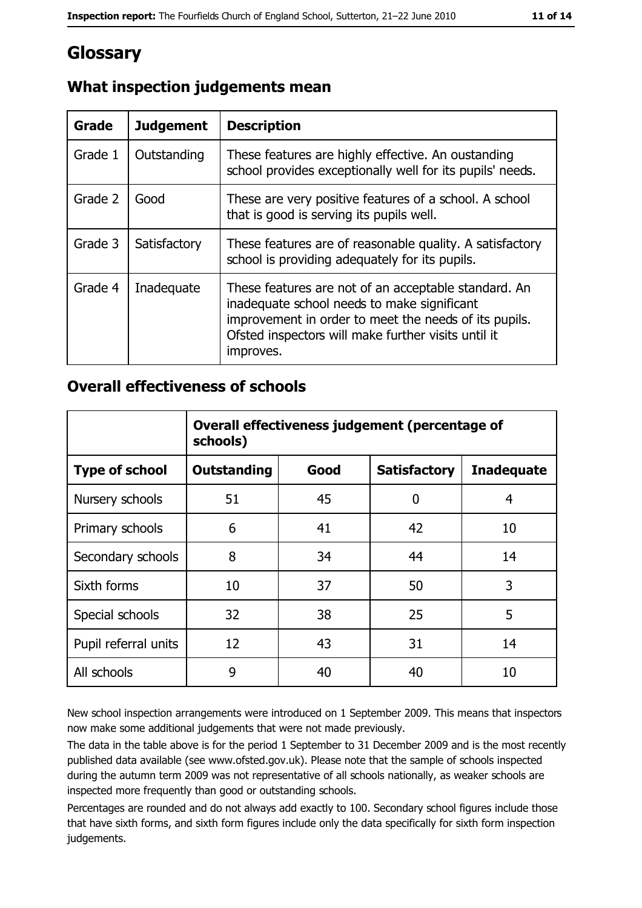## Glossary

| <b>Grade</b> | <b>Judgement</b> | <b>Description</b>                                                                                                                                                                                                               |
|--------------|------------------|----------------------------------------------------------------------------------------------------------------------------------------------------------------------------------------------------------------------------------|
| Grade 1      | Outstanding      | These features are highly effective. An oustanding<br>school provides exceptionally well for its pupils' needs.                                                                                                                  |
| Grade 2      | Good             | These are very positive features of a school. A school<br>that is good is serving its pupils well.                                                                                                                               |
| Grade 3      | Satisfactory     | These features are of reasonable quality. A satisfactory<br>school is providing adequately for its pupils.                                                                                                                       |
| Grade 4      | Inadequate       | These features are not of an acceptable standard. An<br>inadequate school needs to make significant<br>improvement in order to meet the needs of its pupils.<br>Ofsted inspectors will make further visits until it<br>improves. |

### What inspection judgements mean

#### **Overall effectiveness of schools**

|                       | Overall effectiveness judgement (percentage of<br>schools) |      |                     |                   |
|-----------------------|------------------------------------------------------------|------|---------------------|-------------------|
| <b>Type of school</b> | <b>Outstanding</b>                                         | Good | <b>Satisfactory</b> | <b>Inadequate</b> |
| Nursery schools       | 51                                                         | 45   | 0                   | 4                 |
| Primary schools       | 6                                                          | 41   | 42                  | 10                |
| Secondary schools     | 8                                                          | 34   | 44                  | 14                |
| Sixth forms           | 10                                                         | 37   | 50                  | 3                 |
| Special schools       | 32                                                         | 38   | 25                  | 5                 |
| Pupil referral units  | 12                                                         | 43   | 31                  | 14                |
| All schools           | 9                                                          | 40   | 40                  | 10                |

New school inspection arrangements were introduced on 1 September 2009. This means that inspectors now make some additional judgements that were not made previously.

The data in the table above is for the period 1 September to 31 December 2009 and is the most recently published data available (see www.ofsted.gov.uk). Please note that the sample of schools inspected during the autumn term 2009 was not representative of all schools nationally, as weaker schools are inspected more frequently than good or outstanding schools.

Percentages are rounded and do not always add exactly to 100. Secondary school figures include those that have sixth forms, and sixth form figures include only the data specifically for sixth form inspection judgements.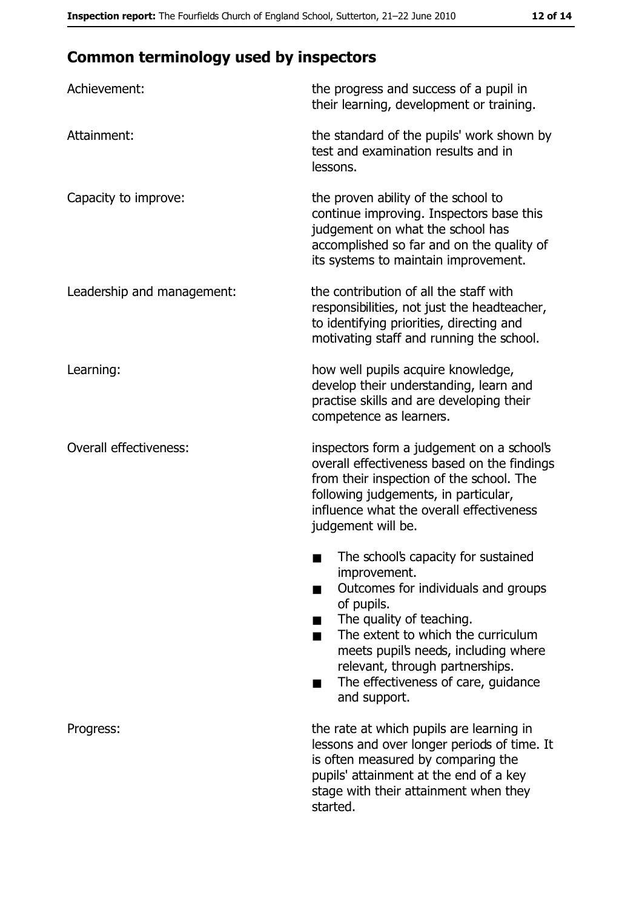# **Common terminology used by inspectors**

| Achievement:                  | the progress and success of a pupil in<br>their learning, development or training.                                                                                                                                                                                                                           |  |
|-------------------------------|--------------------------------------------------------------------------------------------------------------------------------------------------------------------------------------------------------------------------------------------------------------------------------------------------------------|--|
| Attainment:                   | the standard of the pupils' work shown by<br>test and examination results and in<br>lessons.                                                                                                                                                                                                                 |  |
| Capacity to improve:          | the proven ability of the school to<br>continue improving. Inspectors base this<br>judgement on what the school has<br>accomplished so far and on the quality of<br>its systems to maintain improvement.                                                                                                     |  |
| Leadership and management:    | the contribution of all the staff with<br>responsibilities, not just the headteacher,<br>to identifying priorities, directing and<br>motivating staff and running the school.                                                                                                                                |  |
| Learning:                     | how well pupils acquire knowledge,<br>develop their understanding, learn and<br>practise skills and are developing their<br>competence as learners.                                                                                                                                                          |  |
| <b>Overall effectiveness:</b> | inspectors form a judgement on a school's<br>overall effectiveness based on the findings<br>from their inspection of the school. The<br>following judgements, in particular,<br>influence what the overall effectiveness<br>judgement will be.                                                               |  |
|                               | The school's capacity for sustained<br>improvement.<br>Outcomes for individuals and groups<br>of pupils.<br>The quality of teaching.<br>The extent to which the curriculum<br>meets pupil's needs, including where<br>relevant, through partnerships.<br>The effectiveness of care, guidance<br>and support. |  |
| Progress:                     | the rate at which pupils are learning in<br>lessons and over longer periods of time. It<br>is often measured by comparing the<br>pupils' attainment at the end of a key<br>stage with their attainment when they<br>started.                                                                                 |  |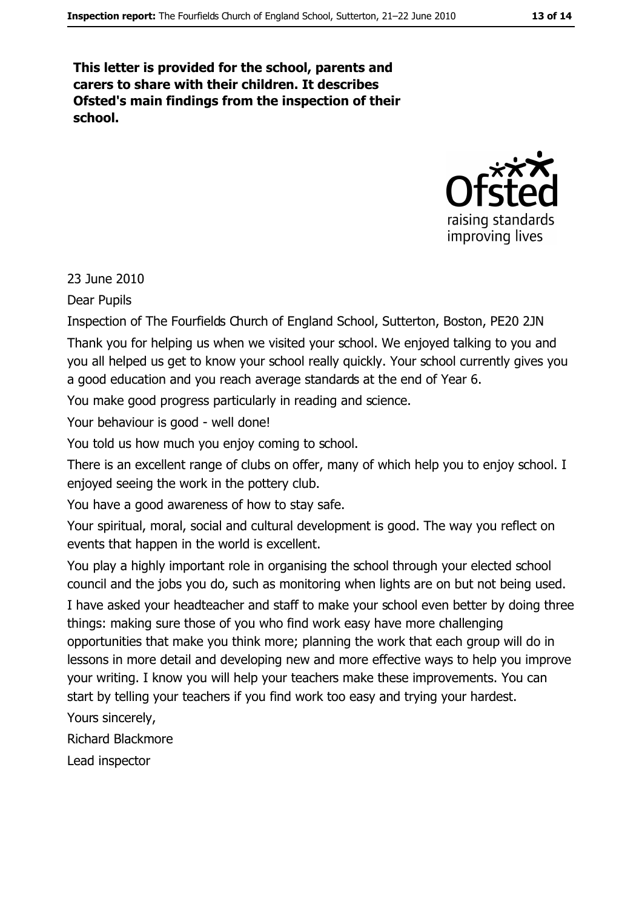This letter is provided for the school, parents and carers to share with their children. It describes Ofsted's main findings from the inspection of their school.



23 June 2010

**Dear Pupils** 

Inspection of The Fourfields Church of England School, Sutterton, Boston, PE20 2JN Thank you for helping us when we visited your school. We enjoyed talking to you and you all helped us get to know your school really quickly. Your school currently gives you

a good education and you reach average standards at the end of Year 6.

You make good progress particularly in reading and science.

Your behaviour is good - well done!

You told us how much you enjoy coming to school.

There is an excellent range of clubs on offer, many of which help you to enjoy school. I enjoyed seeing the work in the pottery club.

You have a good awareness of how to stay safe.

Your spiritual, moral, social and cultural development is good. The way you reflect on events that happen in the world is excellent.

You play a highly important role in organising the school through your elected school council and the jobs you do, such as monitoring when lights are on but not being used. I have asked your headteacher and staff to make your school even better by doing three things: making sure those of you who find work easy have more challenging opportunities that make you think more; planning the work that each group will do in lessons in more detail and developing new and more effective ways to help you improve your writing. I know you will help your teachers make these improvements. You can start by telling your teachers if you find work too easy and trying your hardest.

Yours sincerely,

**Richard Blackmore** 

Lead inspector